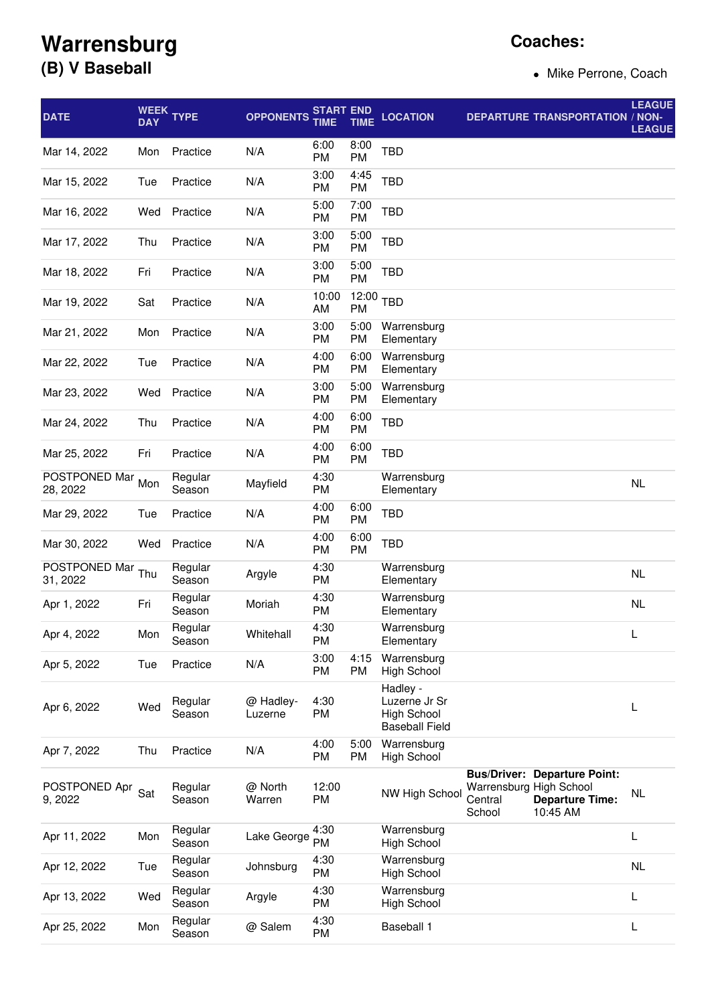## **Warrensburg (B) V Baseball**

## **Coaches:**

• Mike Perrone, Coach

| <b>DATE</b>               | <b>DAY</b> | WEEK TYPE         | <b>OPPONENTS</b>     | <b>START END</b><br>TIME | <b>TIME</b>        | <b>LOCATION</b>                                                          |                                              | <b>DEPARTURE TRANSPORTATION / NON-</b>                                    | <b>LEAGUE</b><br><b>LEAGUE</b> |
|---------------------------|------------|-------------------|----------------------|--------------------------|--------------------|--------------------------------------------------------------------------|----------------------------------------------|---------------------------------------------------------------------------|--------------------------------|
| Mar 14, 2022              | Mon        | Practice          | N/A                  | 6:00<br>PM               | 8:00<br>PM         | TBD                                                                      |                                              |                                                                           |                                |
| Mar 15, 2022              | Tue        | Practice          | N/A                  | 3:00<br>PM               | 4:45<br>PM         | <b>TBD</b>                                                               |                                              |                                                                           |                                |
| Mar 16, 2022              | Wed        | Practice          | N/A                  | 5:00<br><b>PM</b>        | 7:00<br>PM         | <b>TBD</b>                                                               |                                              |                                                                           |                                |
| Mar 17, 2022              | Thu        | Practice          | N/A                  | 3:00<br>PM               | 5:00<br>PM         | <b>TBD</b>                                                               |                                              |                                                                           |                                |
| Mar 18, 2022              | Fri        | Practice          | N/A                  | 3:00<br><b>PM</b>        | 5:00<br>PM         | TBD                                                                      |                                              |                                                                           |                                |
| Mar 19, 2022              | Sat        | Practice          | N/A                  | 10:00<br>AM              | 12:00<br><b>PM</b> | TBD                                                                      |                                              |                                                                           |                                |
| Mar 21, 2022              | Mon        | Practice          | N/A                  | 3:00<br>PM               | 5:00<br>PM         | Warrensburg<br>Elementary                                                |                                              |                                                                           |                                |
| Mar 22, 2022              | Tue        | Practice          | N/A                  | 4:00<br><b>PM</b>        | 6:00<br>PM         | Warrensburg<br>Elementary                                                |                                              |                                                                           |                                |
| Mar 23, 2022              | Wed        | Practice          | N/A                  | 3:00<br><b>PM</b>        | 5:00<br>PM         | Warrensburg<br>Elementary                                                |                                              |                                                                           |                                |
| Mar 24, 2022              | Thu        | Practice          | N/A                  | 4:00<br><b>PM</b>        | 6:00<br>PM         | TBD                                                                      |                                              |                                                                           |                                |
| Mar 25, 2022              | Fri        | Practice          | N/A                  | 4:00<br><b>PM</b>        | 6:00<br>PM         | <b>TBD</b>                                                               |                                              |                                                                           |                                |
| POSTPONED Mar<br>28, 2022 | Mon        | Regular<br>Season | Mayfield             | 4:30<br>PM               |                    | Warrensburg<br>Elementary                                                |                                              |                                                                           | <b>NL</b>                      |
| Mar 29, 2022              | Tue        | Practice          | N/A                  | 4:00<br>PM               | 6:00<br>PM         | TBD                                                                      |                                              |                                                                           |                                |
| Mar 30, 2022              | Wed        | Practice          | N/A                  | 4:00<br>PM               | 6:00<br>PM         | <b>TBD</b>                                                               |                                              |                                                                           |                                |
| POSTPONED Mar<br>31, 2022 | Thu        | Regular<br>Season | Argyle               | 4:30<br>PM               |                    | Warrensburg<br>Elementary                                                |                                              |                                                                           | <b>NL</b>                      |
| Apr 1, 2022               | Fri        | Regular<br>Season | Moriah               | 4:30<br>PM               |                    | Warrensburg<br>Elementary                                                |                                              |                                                                           | <b>NL</b>                      |
| Apr 4, 2022               | Mon        | Regular<br>Season | Whitehall            | 4:30<br>PM               |                    | Warrensburg<br>Elementary                                                |                                              |                                                                           | L                              |
| Apr 5, 2022               | Tue        | Practice          | N/A                  | 3:00<br><b>PM</b>        | 4:15<br>PM         | Warrensburg<br><b>High School</b>                                        |                                              |                                                                           |                                |
| Apr 6, 2022               | Wed        | Regular<br>Season | @ Hadley-<br>Luzerne | 4:30<br>PM               |                    | Hadley -<br>Luzerne Jr Sr<br><b>High School</b><br><b>Baseball Field</b> |                                              |                                                                           | L                              |
| Apr 7, 2022               | Thu        | Practice          | N/A                  | 4:00<br>PM               | 5:00<br>PM         | Warrensburg<br><b>High School</b>                                        |                                              |                                                                           |                                |
| POSTPONED Apr<br>9, 2022  | Sat        | Regular<br>Season | @ North<br>Warren    | 12:00<br>PM              |                    | NW High School                                                           | Warrensburg High School<br>Central<br>School | <b>Bus/Driver: Departure Point:</b><br><b>Departure Time:</b><br>10:45 AM | NL                             |
| Apr 11, 2022              | Mon        | Regular<br>Season | Lake George          | 4:30<br>PM               |                    | Warrensburg<br><b>High School</b>                                        |                                              |                                                                           | L                              |
| Apr 12, 2022              | Tue        | Regular<br>Season | Johnsburg            | 4:30<br>PM               |                    | Warrensburg<br><b>High School</b>                                        |                                              |                                                                           | <b>NL</b>                      |
| Apr 13, 2022              | Wed        | Regular<br>Season | Argyle               | 4:30<br>PM               |                    | Warrensburg<br><b>High School</b>                                        |                                              |                                                                           | L                              |
| Apr 25, 2022              | Mon        | Regular<br>Season | @ Salem              | 4:30<br>PM               |                    | Baseball 1                                                               |                                              |                                                                           | L                              |